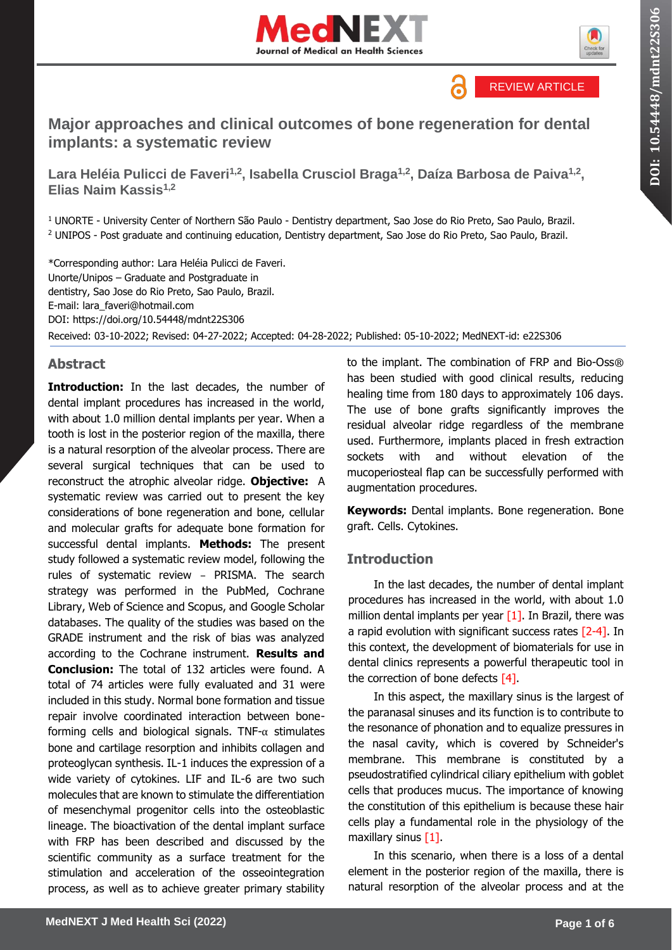



REVIEW ARTICLE

6

# **Major approaches and clinical outcomes of bone regeneration for dental implants: a systematic review**

**Lara Heléia Pulicci de Faveri1,2, Isabella Crusciol Braga1,2, Daíza Barbosa de Paiva1,2 , Elias Naim Kassis1,2**

<sup>1</sup> UNORTE - University Center of Northern São Paulo - Dentistry department, Sao Jose do Rio Preto, Sao Paulo, Brazil. <sup>2</sup> UNIPOS - Post graduate and continuing education, Dentistry department, Sao Jose do Rio Preto, Sao Paulo, Brazil.

\*Corresponding author: Lara Heléia Pulicci de Faveri. Unorte/Unipos – Graduate and Postgraduate in dentistry, Sao Jose do Rio Preto, Sao Paulo, Brazil. E-mail: lara\_faveri@hotmail.com DOI:<https://doi.org/10.54448/mdnt22S306> Received: 03-10-2022; Revised: 04-27-2022; Accepted: 04-28-2022; Published: 05-10-2022; MedNEXT-id: e22S306

## **Abstract**

**Introduction:** In the last decades, the number of dental implant procedures has increased in the world, with about 1.0 million dental implants per year. When a tooth is lost in the posterior region of the maxilla, there is a natural resorption of the alveolar process. There are several surgical techniques that can be used to reconstruct the atrophic alveolar ridge. **Objective:** A systematic review was carried out to present the key considerations of bone regeneration and bone, cellular and molecular grafts for adequate bone formation for successful dental implants. **Methods:** The present study followed a systematic review model, following the rules of systematic review – PRISMA. The search strategy was performed in the PubMed, Cochrane Library, Web of Science and Scopus, and Google Scholar databases. The quality of the studies was based on the GRADE instrument and the risk of bias was analyzed according to the Cochrane instrument. **Results and Conclusion:** The total of 132 articles were found. A total of 74 articles were fully evaluated and 31 were included in this study. Normal bone formation and tissue repair involve coordinated interaction between boneforming cells and biological signals. TNF- $\alpha$  stimulates bone and cartilage resorption and inhibits collagen and proteoglycan synthesis. IL-1 induces the expression of a wide variety of cytokines. LIF and IL-6 are two such molecules that are known to stimulate the differentiation of mesenchymal progenitor cells into the osteoblastic lineage. The bioactivation of the dental implant surface with FRP has been described and discussed by the scientific community as a surface treatment for the stimulation and acceleration of the osseointegration process, as well as to achieve greater primary stability

to the implant. The combination of FRP and Bio-Oss® has been studied with good clinical results, reducing healing time from 180 days to approximately 106 days. The use of bone grafts significantly improves the residual alveolar ridge regardless of the membrane used. Furthermore, implants placed in fresh extraction sockets with and without elevation of the mucoperiosteal flap can be successfully performed with augmentation procedures.

**Keywords:** Dental implants. Bone regeneration. Bone graft. Cells. Cytokines.

#### **Introduction**

In the last decades, the number of dental implant procedures has increased in the world, with about 1.0 million dental implants per year  $[1]$ . In Brazil, there was a rapid evolution with significant success rates  $[2-4]$ . In this context, the development of biomaterials for use in dental clinics represents a powerful therapeutic tool in the correction of bone defects  $[4]$ .

In this aspect, the maxillary sinus is the largest of the paranasal sinuses and its function is to contribute to the resonance of phonation and to equalize pressures in the nasal cavity, which is covered by Schneider's membrane. This membrane is constituted by a pseudostratified cylindrical ciliary epithelium with goblet cells that produces mucus. The importance of knowing the constitution of this epithelium is because these hair cells play a fundamental role in the physiology of the maxillary sinus [1].

In this scenario, when there is a loss of a dental element in the posterior region of the maxilla, there is natural resorption of the alveolar process and at the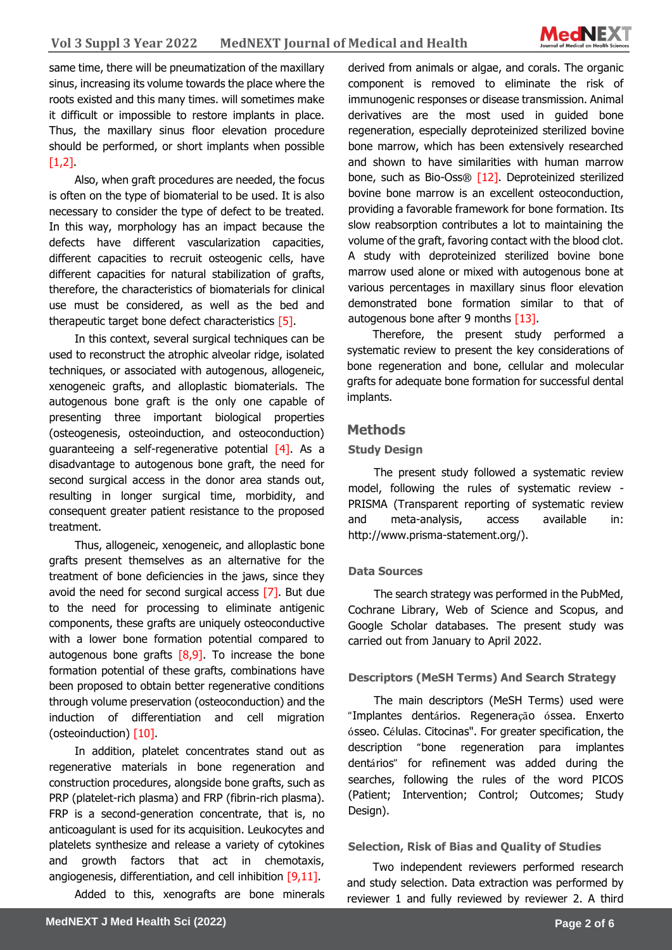

same time, there will be pneumatization of the maxillary sinus, increasing its volume towards the place where the roots existed and this many times. will sometimes make it difficult or impossible to restore implants in place. Thus, the maxillary sinus floor elevation procedure should be performed, or short implants when possible  $[1,2]$ 

Also, when graft procedures are needed, the focus is often on the type of biomaterial to be used. It is also necessary to consider the type of defect to be treated. In this way, morphology has an impact because the defects have different vascularization capacities, different capacities to recruit osteogenic cells, have different capacities for natural stabilization of grafts, therefore, the characteristics of biomaterials for clinical use must be considered, as well as the bed and therapeutic target bone defect characteristics [5].

In this context, several surgical techniques can be used to reconstruct the atrophic alveolar ridge, isolated techniques, or associated with autogenous, allogeneic, xenogeneic grafts, and alloplastic biomaterials. The autogenous bone graft is the only one capable of presenting three important biological properties (osteogenesis, osteoinduction, and osteoconduction) guaranteeing a self-regenerative potential  $[4]$ . As a disadvantage to autogenous bone graft, the need for second surgical access in the donor area stands out, resulting in longer surgical time, morbidity, and consequent greater patient resistance to the proposed treatment.

Thus, allogeneic, xenogeneic, and alloplastic bone grafts present themselves as an alternative for the treatment of bone deficiencies in the jaws, since they avoid the need for second surgical access [7]. But due to the need for processing to eliminate antigenic components, these grafts are uniquely osteoconductive with a lower bone formation potential compared to autogenous bone grafts  $[8,9]$ . To increase the bone formation potential of these grafts, combinations have been proposed to obtain better regenerative conditions through volume preservation (osteoconduction) and the induction of differentiation and cell migration (osteoinduction) [10].

In addition, platelet concentrates stand out as regenerative materials in bone regeneration and construction procedures, alongside bone grafts, such as PRP (platelet-rich plasma) and FRP (fibrin-rich plasma). FRP is a second-generation concentrate, that is, no anticoagulant is used for its acquisition. Leukocytes and platelets synthesize and release a variety of cytokines and growth factors that act in chemotaxis, angiogenesis, differentiation, and cell inhibition [9,11].

Added to this, xenografts are bone minerals

derived from animals or algae, and corals. The organic component is removed to eliminate the risk of immunogenic responses or disease transmission. Animal derivatives are the most used in guided bone regeneration, especially deproteinized sterilized bovine bone marrow, which has been extensively researched and shown to have similarities with human marrow bone, such as Bio-Oss® [12]. Deproteinized sterilized bovine bone marrow is an excellent osteoconduction, providing a favorable framework for bone formation. Its slow reabsorption contributes a lot to maintaining the volume of the graft, favoring contact with the blood clot. A study with deproteinized sterilized bovine bone marrow used alone or mixed with autogenous bone at various percentages in maxillary sinus floor elevation demonstrated bone formation similar to that of autogenous bone after 9 months [13].

Therefore, the present study performed a systematic review to present the key considerations of bone regeneration and bone, cellular and molecular grafts for adequate bone formation for successful dental implants.

## **Methods**

#### **Study Design**

The present study followed a systematic review model, following the rules of systematic review - PRISMA (Transparent reporting of systematic review and meta-analysis, access available in: http://www.prisma-statement.org/).

#### **Data Sources**

The search strategy was performed in the PubMed, Cochrane Library, Web of Science and Scopus, and Google Scholar databases. The present study was carried out from January to April 2022.

#### **Descriptors (MeSH Terms) And Search Strategy**

The main descriptors (MeSH Terms) used were "Implantes dentários. Regeneração óssea. Enxerto ósseo. Células. Citocinas". For greater specification, the description "bone regeneration para implantes dentários" for refinement was added during the searches, following the rules of the word PICOS (Patient; Intervention; Control; Outcomes; Study Design).

#### **Selection, Risk of Bias and Quality of Studies**

Two independent reviewers performed research and study selection. Data extraction was performed by reviewer 1 and fully reviewed by reviewer 2. A third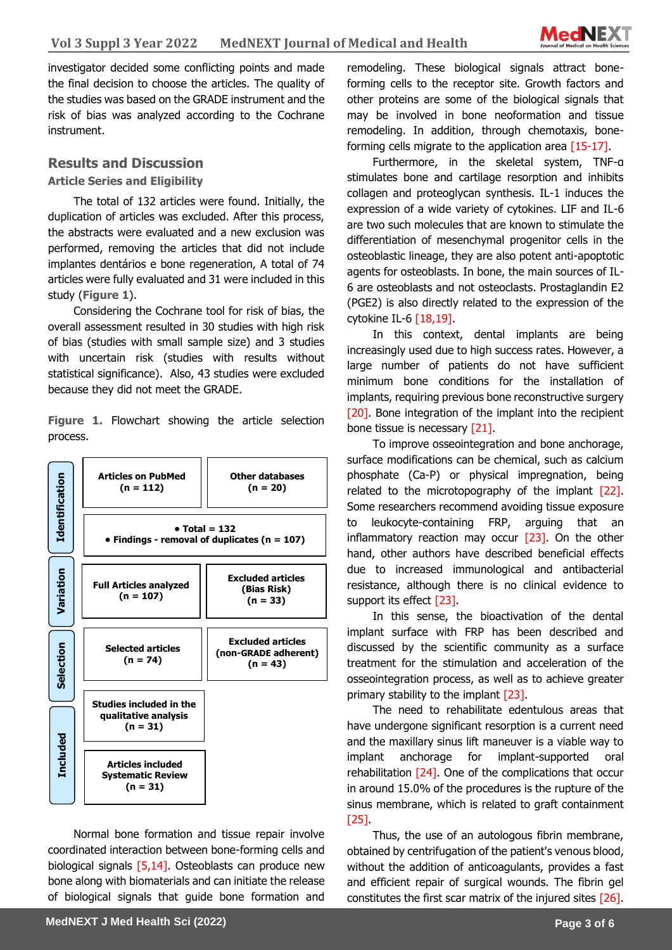

**Sciences** investigator decided some conflicting points and made the final decision to choose the articles. The quality of the studies was based on the GRADE instrument and the risk of bias was analyzed according to the Cochrane instrument.

## **Results and Discussion**

#### **Article Series and Eligibility**

The total of 132 articles were found. Initially, the duplication of articles was excluded. After this process, the abstracts were evaluated and a new exclusion was performed, removing the articles that did not include implantes dentários e bone regeneration, A total of 74 articles were fully evaluated and 31 were included in this study (**Figure 1**).

Considering the Cochrane tool for risk of bias, the overall assessment resulted in 30 studies with high risk of bias (studies with small sample size) and 3 studies with uncertain risk (studies with results without statistical significance). Also, 43 studies were excluded because they did not meet the GRADE.

**Figure 1.** Flowchart showing the article selection process.



Normal bone formation and tissue repair involve coordinated interaction between bone-forming cells and biological signals  $[5,14]$ . Osteoblasts can produce new bone along with biomaterials and can initiate the release of biological signals that guide bone formation and

remodeling. These biological signals attract boneforming cells to the receptor site. Growth factors and other proteins are some of the biological signals that may be involved in bone neoformation and tissue remodeling. In addition, through chemotaxis, boneforming cells migrate to the application area [15-17].

Furthermore, in the skeletal system, TNF-α stimulates bone and cartilage resorption and inhibits collagen and proteoglycan synthesis. IL-1 induces the expression of a wide variety of cytokines. LIF and IL-6 are two such molecules that are known to stimulate the differentiation of mesenchymal progenitor cells in the osteoblastic lineage, they are also potent anti-apoptotic agents for osteoblasts. In bone, the main sources of IL-6 are osteoblasts and not osteoclasts. Prostaglandin E2 (PGE2) is also directly related to the expression of the cytokine IL-6 [18,19].

In this context, dental implants are being increasingly used due to high success rates. However, a large number of patients do not have sufficient minimum bone conditions for the installation of implants, requiring previous bone reconstructive surgery [20]. Bone integration of the implant into the recipient bone tissue is necessary [21].

To improve osseointegration and bone anchorage, surface modifications can be chemical, such as calcium phosphate (Ca-P) or physical impregnation, being related to the microtopography of the implant [22]. Some researchers recommend avoiding tissue exposure to leukocyte-containing FRP, arguing that an inflammatory reaction may occur  $[23]$ . On the other hand, other authors have described beneficial effects due to increased immunological and antibacterial resistance, although there is no clinical evidence to support its effect [23].

In this sense, the bioactivation of the dental implant surface with FRP has been described and discussed by the scientific community as a surface treatment for the stimulation and acceleration of the osseointegration process, as well as to achieve greater primary stability to the implant [23].

The need to rehabilitate edentulous areas that have undergone significant resorption is a current need and the maxillary sinus lift maneuver is a viable way to implant anchorage for implant-supported oral rehabilitation [24]. One of the complications that occur in around 15.0% of the procedures is the rupture of the sinus membrane, which is related to graft containment [25].

Thus, the use of an autologous fibrin membrane, obtained by centrifugation of the patient's venous blood, without the addition of anticoagulants, provides a fast and efficient repair of surgical wounds. The fibrin gel constitutes the first scar matrix of the injured sites [26].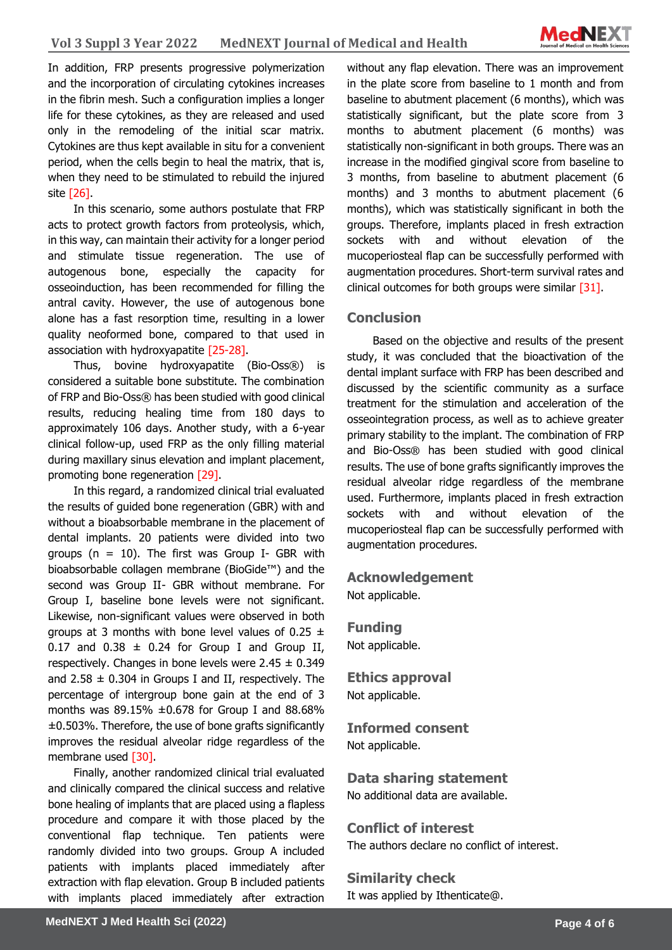**Sciences** In addition, FRP presents progressive polymerization and the incorporation of circulating cytokines increases in the fibrin mesh. Such a configuration implies a longer life for these cytokines, as they are released and used only in the remodeling of the initial scar matrix. Cytokines are thus kept available in situ for a convenient period, when the cells begin to heal the matrix, that is, when they need to be stimulated to rebuild the injured site [26].

In this scenario, some authors postulate that FRP acts to protect growth factors from proteolysis, which, in this way, can maintain their activity for a longer period and stimulate tissue regeneration. The use of autogenous bone, especially the capacity for osseoinduction, has been recommended for filling the antral cavity. However, the use of autogenous bone alone has a fast resorption time, resulting in a lower quality neoformed bone, compared to that used in association with hydroxyapatite [25-28].

Thus, bovine hydroxyapatite (Bio-Oss®) is considered a suitable bone substitute. The combination of FRP and Bio-Oss® has been studied with good clinical results, reducing healing time from 180 days to approximately 106 days. Another study, with a 6-year clinical follow-up, used FRP as the only filling material during maxillary sinus elevation and implant placement, promoting bone regeneration [29].

In this regard, a randomized clinical trial evaluated the results of guided bone regeneration (GBR) with and without a bioabsorbable membrane in the placement of dental implants. 20 patients were divided into two groups ( $n = 10$ ). The first was Group I- GBR with bioabsorbable collagen membrane (BioGide™) and the second was Group II- GBR without membrane. For Group I, baseline bone levels were not significant. Likewise, non-significant values were observed in both groups at 3 months with bone level values of  $0.25 \pm$ 0.17 and  $0.38 \pm 0.24$  for Group I and Group II, respectively. Changes in bone levels were  $2.45 \pm 0.349$ and 2.58  $\pm$  0.304 in Groups I and II, respectively. The percentage of intergroup bone gain at the end of 3 months was  $89.15\% \pm 0.678$  for Group I and  $88.68\%$ ±0.503%. Therefore, the use of bone grafts significantly improves the residual alveolar ridge regardless of the membrane used [30].

Finally, another randomized clinical trial evaluated and clinically compared the clinical success and relative bone healing of implants that are placed using a flapless procedure and compare it with those placed by the conventional flap technique. Ten patients were randomly divided into two groups. Group A included patients with implants placed immediately after extraction with flap elevation. Group B included patients with implants placed immediately after extraction

without any flap elevation. There was an improvement in the plate score from baseline to 1 month and from baseline to abutment placement (6 months), which was statistically significant, but the plate score from 3 months to abutment placement (6 months) was statistically non-significant in both groups. There was an increase in the modified gingival score from baseline to 3 months, from baseline to abutment placement (6 months) and 3 months to abutment placement (6 months), which was statistically significant in both the groups. Therefore, implants placed in fresh extraction sockets with and without elevation of the mucoperiosteal flap can be successfully performed with augmentation procedures. Short-term survival rates and clinical outcomes for both groups were similar [31].

## **Conclusion**

Based on the objective and results of the present study, it was concluded that the bioactivation of the dental implant surface with FRP has been described and discussed by the scientific community as a surface treatment for the stimulation and acceleration of the osseointegration process, as well as to achieve greater primary stability to the implant. The combination of FRP and Bio-Oss® has been studied with good clinical results. The use of bone grafts significantly improves the residual alveolar ridge regardless of the membrane used. Furthermore, implants placed in fresh extraction sockets with and without elevation of the mucoperiosteal flap can be successfully performed with augmentation procedures.

## **Acknowledgement**

Not applicable.

**Funding** Not applicable.

**Ethics approval**  Not applicable.

**Informed consent** Not applicable.

**Data sharing statement** No additional data are available.

**Conflict of interest** The authors declare no conflict of interest.

**Similarity check** 

It was applied by Ithenticate@.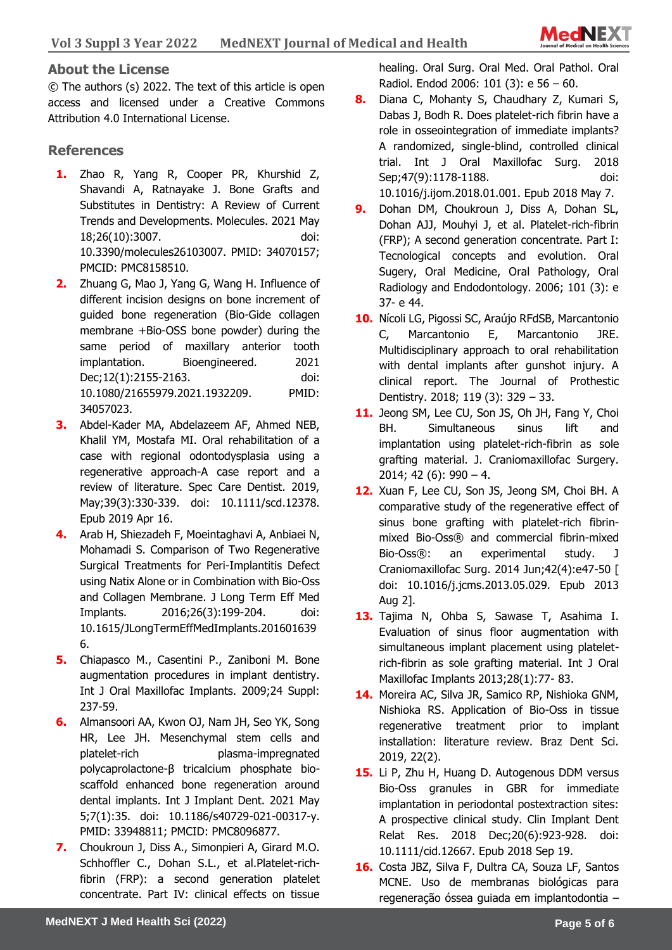

## **About the License**

© The authors (s) 2022. The text of this article is open access and licensed under a Creative Commons Attribution 4.0 International License.

## **References**

- **1.** Zhao R, Yang R, Cooper PR, Khurshid Z, Shavandi A, Ratnayake J. Bone Grafts and Substitutes in Dentistry: A Review of Current Trends and Developments. Molecules. 2021 May 18;26(10):3007. doi: 10.3390/molecules26103007. PMID: 34070157; PMCID: PMC8158510.
- **2.** Zhuang G, Mao J, Yang G, Wang H. Influence of different incision designs on bone increment of guided bone regeneration (Bio-Gide collagen membrane +Bio-OSS bone powder) during the same period of maxillary anterior tooth implantation. Bioengineered. 2021 Dec;12(1):2155-2163. doi: 10.1080/21655979.2021.1932209. PMID: 34057023.
- **3.** Abdel-Kader MA, Abdelazeem AF, Ahmed NEB, Khalil YM, Mostafa MI. Oral rehabilitation of a case with regional odontodysplasia using a regenerative approach-A case report and a review of literature. Spec Care Dentist. 2019, May; 39(3): 330-339. doi: 10.1111/scd.12378. Epub 2019 Apr 16.
- **4.** Arab H, Shiezadeh F, Moeintaghavi A, Anbiaei N, Mohamadi S. Comparison of Two Regenerative Surgical Treatments for Peri-Implantitis Defect using Natix Alone or in Combination with Bio-Oss and Collagen Membrane. J Long Term Eff Med Implants. 2016;26(3):199-204. doi: 10.1615/JLongTermEffMedImplants.201601639 6.
- **5.** Chiapasco M., Casentini P., Zaniboni M. Bone augmentation procedures in implant dentistry. Int J Oral Maxillofac Implants. 2009;24 Suppl: 237-59.
- **6.** Almansoori AA, Kwon OJ, Nam JH, Seo YK, Song HR, Lee JH. Mesenchymal stem cells and platelet-rich plasma-impregnated polycaprolactone-β tricalcium phosphate bioscaffold enhanced bone regeneration around dental implants. Int J Implant Dent. 2021 May 5;7(1):35. doi: 10.1186/s40729-021-00317-y. PMID: 33948811; PMCID: PMC8096877.
- **7.** Choukroun J, Diss A., Simonpieri A, Girard M.O. Schhoffler C., Dohan S.L., et al.Platelet-richfibrin (FRP): a second generation platelet concentrate. Part IV: clinical effects on tissue

healing. Oral Surg. Oral Med. Oral Pathol. Oral Radiol. Endod 2006: 101 (3): e 56 – 60.

- **8.** Diana C, Mohanty S, Chaudhary Z, Kumari S, Dabas J, Bodh R. Does platelet-rich fibrin have a role in osseointegration of immediate implants? A randomized, single-blind, controlled clinical trial. Int J Oral Maxillofac Surg. 2018 Sep;47(9):1178-1188. doi: 10.1016/j.ijom.2018.01.001. Epub 2018 May 7.
- **9.** Dohan DM, Choukroun J, Diss A, Dohan SL, Dohan AJJ, Mouhyi J, et al. Platelet-rich-fibrin (FRP); A second generation concentrate. Part I: Tecnological concepts and evolution. Oral Sugery, Oral Medicine, Oral Pathology, Oral Radiology and Endodontology. 2006; 101 (3): e 37- e 44.
- **10.** Nícoli LG, Pigossi SC, Araújo RFdSB, Marcantonio C, Marcantonio E, Marcantonio JRE. Multidisciplinary approach to oral rehabilitation with dental implants after gunshot injury. A clinical report. The Journal of Prothestic Dentistry. 2018; 119 (3): 329 – 33.
- **11.** Jeong SM, Lee CU, Son JS, Oh JH, Fang Y, Choi BH. Simultaneous sinus lift and implantation using platelet-rich-fibrin as sole grafting material. J. Craniomaxillofac Surgery. 2014; 42 (6):  $990 - 4$ .
- **12.** Xuan F, Lee CU, Son JS, Jeong SM, Choi BH. A comparative study of the regenerative effect of sinus bone grafting with platelet-rich fibrinmixed Bio-Oss® and commercial fibrin-mixed Bio-Oss®: an experimental study. J Craniomaxillofac Surg. 2014 Jun;42(4):e47-50 [ doi: 10.1016/j.jcms.2013.05.029. Epub 2013 Aug 2].
- **13.** Tajima N, Ohba S, Sawase T, Asahima I. Evaluation of sinus floor augmentation with simultaneous implant placement using plateletrich-fibrin as sole grafting material. Int J Oral Maxillofac Implants 2013;28(1):77- 83.
- **14.** Moreira AC, Silva JR, Samico RP, Nishioka GNM, Nishioka RS. Application of Bio-Oss in tissue regenerative treatment prior to implant installation: literature review. Braz Dent Sci. 2019, 22(2).
- **15.** Li P, Zhu H, Huang D. Autogenous DDM versus Bio-Oss granules in GBR for immediate implantation in periodontal postextraction sites: A prospective clinical study. Clin Implant Dent Relat Res. 2018 Dec;20(6):923-928. doi: 10.1111/cid.12667. Epub 2018 Sep 19.
- **16.** Costa JBZ, Silva F, Dultra CA, Souza LF, Santos MCNE. Uso de membranas biológicas para regeneração óssea guiada em implantodontia –